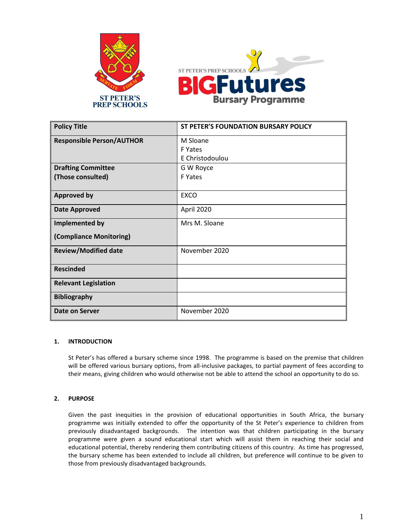



| <b>Policy Title</b>              | ST PETER'S FOUNDATION BURSARY POLICY |
|----------------------------------|--------------------------------------|
| <b>Responsible Person/AUTHOR</b> | M Sloane                             |
|                                  | F Yates                              |
|                                  | E Christodoulou                      |
| <b>Drafting Committee</b>        | G W Royce                            |
| (Those consulted)                | F Yates                              |
|                                  |                                      |
| <b>Approved by</b>               | <b>EXCO</b>                          |
| <b>Date Approved</b>             | April 2020                           |
| Implemented by                   | Mrs M. Sloane                        |
| (Compliance Monitoring)          |                                      |
| <b>Review/Modified date</b>      | November 2020                        |
| <b>Rescinded</b>                 |                                      |
| <b>Relevant Legislation</b>      |                                      |
| <b>Bibliography</b>              |                                      |
| Date on Server                   | November 2020                        |

#### **1. INTRODUCTION**

St Peter's has offered a bursary scheme since 1998. The programme is based on the premise that children will be offered various bursary options, from all-inclusive packages, to partial payment of fees according to their means, giving children who would otherwise not be able to attend the school an opportunity to do so.

#### **2. PURPOSE**

Given the past inequities in the provision of educational opportunities in South Africa, the bursary programme was initially extended to offer the opportunity of the St Peter's experience to children from previously disadvantaged backgrounds. The intention was that children participating in the bursary programme were given a sound educational start which will assist them in reaching their social and educational potential, thereby rendering them contributing citizens of this country. As time has progressed, the bursary scheme has been extended to include all children, but preference will continue to be given to those from previously disadvantaged backgrounds.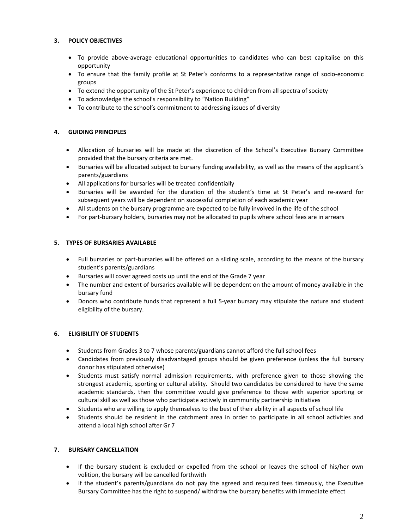# **3. POLICY OBJECTIVES**

- To provide above-average educational opportunities to candidates who can best capitalise on this opportunity
- To ensure that the family profile at St Peter's conforms to a representative range of socio-economic groups
- To extend the opportunity of the St Peter's experience to children from all spectra of society
- To acknowledge the school's responsibility to "Nation Building"
- To contribute to the school's commitment to addressing issues of diversity

# **4. GUIDING PRINCIPLES**

- Allocation of bursaries will be made at the discretion of the School's Executive Bursary Committee provided that the bursary criteria are met.
- Bursaries will be allocated subject to bursary funding availability, as well as the means of the applicant's parents/guardians
- All applications for bursaries will be treated confidentially
- Bursaries will be awarded for the duration of the student's time at St Peter's and re-award for subsequent years will be dependent on successful completion of each academic year
- All students on the bursary programme are expected to be fully involved in the life of the school
- For part-bursary holders, bursaries may not be allocated to pupils where school fees are in arrears

# **5. TYPES OF BURSARIES AVAILABLE**

- Full bursaries or part-bursaries will be offered on a sliding scale, according to the means of the bursary student's parents/guardians
- Bursaries will cover agreed costs up until the end of the Grade 7 year
- The number and extent of bursaries available will be dependent on the amount of money available in the bursary fund
- Donors who contribute funds that represent a full 5-year bursary may stipulate the nature and student eligibility of the bursary.

#### **6. ELIGIBILITY OF STUDENTS**

- Students from Grades 3 to 7 whose parents/guardians cannot afford the full school fees
- Candidates from previously disadvantaged groups should be given preference (unless the full bursary donor has stipulated otherwise)
- Students must satisfy normal admission requirements, with preference given to those showing the strongest academic, sporting or cultural ability. Should two candidates be considered to have the same academic standards, then the committee would give preference to those with superior sporting or cultural skill as well as those who participate actively in community partnership initiatives
- Students who are willing to apply themselves to the best of their ability in all aspects of school life
- Students should be resident in the catchment area in order to participate in all school activities and attend a local high school after Gr 7

#### **7. BURSARY CANCELLATION**

- If the bursary student is excluded or expelled from the school or leaves the school of his/her own volition, the bursary will be cancelled forthwith
- If the student's parents/guardians do not pay the agreed and required fees timeously, the Executive Bursary Committee has the right to suspend/ withdraw the bursary benefits with immediate effect